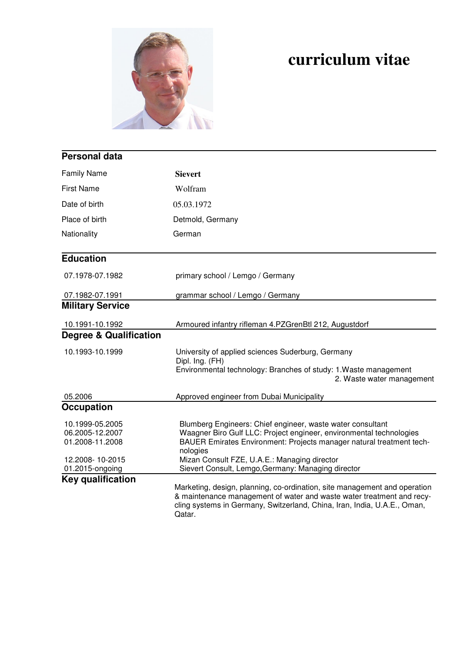

## **curriculum vitae**

| <b>Personal data</b>                                                                        |                                                                                                                                                                                                                                                                                                                             |  |  |  |
|---------------------------------------------------------------------------------------------|-----------------------------------------------------------------------------------------------------------------------------------------------------------------------------------------------------------------------------------------------------------------------------------------------------------------------------|--|--|--|
| <b>Family Name</b>                                                                          | <b>Sievert</b>                                                                                                                                                                                                                                                                                                              |  |  |  |
| <b>First Name</b>                                                                           | Wolfram                                                                                                                                                                                                                                                                                                                     |  |  |  |
| Date of birth                                                                               | 05.03.1972                                                                                                                                                                                                                                                                                                                  |  |  |  |
| Place of birth                                                                              | Detmold, Germany                                                                                                                                                                                                                                                                                                            |  |  |  |
| Nationality                                                                                 | German                                                                                                                                                                                                                                                                                                                      |  |  |  |
| <b>Education</b>                                                                            |                                                                                                                                                                                                                                                                                                                             |  |  |  |
| 07.1978-07.1982                                                                             | primary school / Lemgo / Germany                                                                                                                                                                                                                                                                                            |  |  |  |
| 07.1982-07.1991                                                                             | grammar school / Lemgo / Germany                                                                                                                                                                                                                                                                                            |  |  |  |
| <b>Military Service</b>                                                                     |                                                                                                                                                                                                                                                                                                                             |  |  |  |
| 10.1991-10.1992                                                                             | Armoured infantry rifleman 4.PZGrenBtl 212, Augustdorf                                                                                                                                                                                                                                                                      |  |  |  |
| <b>Degree &amp; Qualification</b>                                                           |                                                                                                                                                                                                                                                                                                                             |  |  |  |
| 10.1993-10.1999                                                                             | University of applied sciences Suderburg, Germany<br>Dipl. Ing. (FH)<br>Environmental technology: Branches of study: 1. Waste management<br>2. Waste water management                                                                                                                                                       |  |  |  |
| 05.2006                                                                                     | Approved engineer from Dubai Municipality                                                                                                                                                                                                                                                                                   |  |  |  |
| <b>Occupation</b>                                                                           |                                                                                                                                                                                                                                                                                                                             |  |  |  |
| 10.1999-05.2005<br>06.2005-12.2007<br>01.2008-11.2008<br>12.2008-10-2015<br>01.2015-ongoing | Blumberg Engineers: Chief engineer, waste water consultant<br>Waagner Biro Gulf LLC: Project engineer, environmental technologies<br>BAUER Emirates Environment: Projects manager natural treatment tech-<br>nologies<br>Mizan Consult FZE, U.A.E.: Managing director<br>Sievert Consult, Lemgo, Germany: Managing director |  |  |  |
| <b>Key qualification</b>                                                                    | Marketing, design, planning, co-ordination, site management and operation                                                                                                                                                                                                                                                   |  |  |  |
|                                                                                             | & maintenance management of water and waste water treatment and recy-<br>cling systems in Germany, Switzerland, China, Iran, India, U.A.E., Oman,<br>Qatar.                                                                                                                                                                 |  |  |  |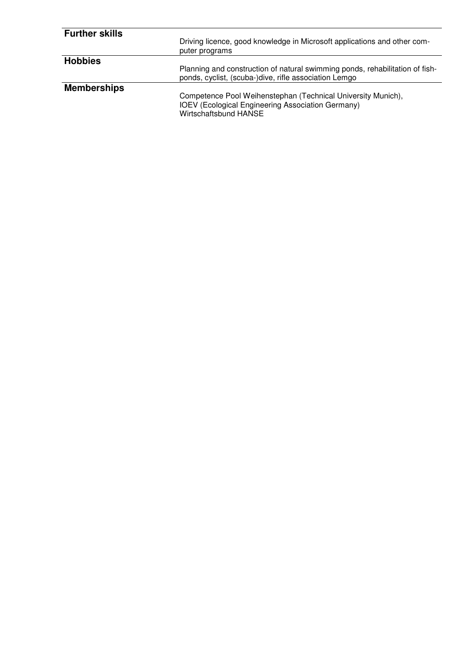| <b>Further skills</b> | Driving licence, good knowledge in Microsoft applications and other com-<br>puter programs                                                        |
|-----------------------|---------------------------------------------------------------------------------------------------------------------------------------------------|
| <b>Hobbies</b>        | Planning and construction of natural swimming ponds, rehabilitation of fish-<br>ponds, cyclist, (scuba-)dive, rifle association Lemgo             |
| <b>Memberships</b>    | Competence Pool Weihenstephan (Technical University Munich),<br><b>IOEV</b> (Ecological Engineering Association Germany)<br>Wirtschaftsbund HANSE |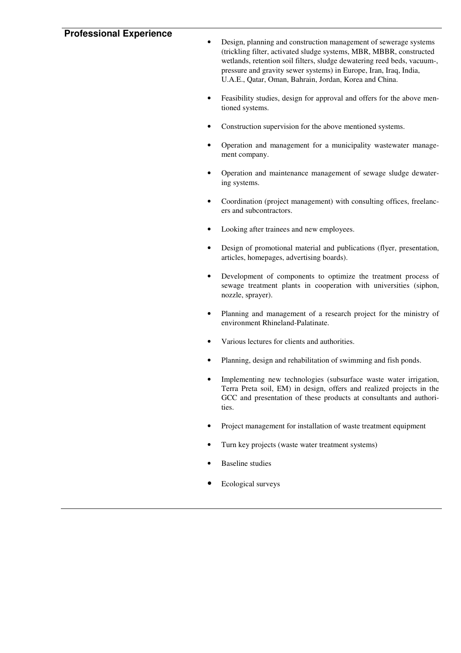## **Professional Experience**

• Design, planning and construction management of sewerage systems (trickling filter, activated sludge systems, MBR, MBBR, constructed wetlands, retention soil filters, sludge dewatering reed beds, vacuum-, pressure and gravity sewer systems) in Europe, Iran, Iraq, India, U.A.E., Qatar, Oman, Bahrain, Jordan, Korea and China.

- Feasibility studies, design for approval and offers for the above mentioned systems.
- Construction supervision for the above mentioned systems.
- Operation and management for a municipality wastewater management company.
- Operation and maintenance management of sewage sludge dewatering systems.
- Coordination (project management) with consulting offices, freelancers and subcontractors.
- Looking after trainees and new employees.
- Design of promotional material and publications (flyer, presentation, articles, homepages, advertising boards).
- Development of components to optimize the treatment process of sewage treatment plants in cooperation with universities (siphon, nozzle, sprayer).
- Planning and management of a research project for the ministry of environment Rhineland-Palatinate.
- Various lectures for clients and authorities.
- Planning, design and rehabilitation of swimming and fish ponds.
- Implementing new technologies (subsurface waste water irrigation, Terra Preta soil, EM) in design, offers and realized projects in the GCC and presentation of these products at consultants and authorities.
- Project management for installation of waste treatment equipment
- Turn key projects (waste water treatment systems)
- **Baseline** studies
- Ecological surveys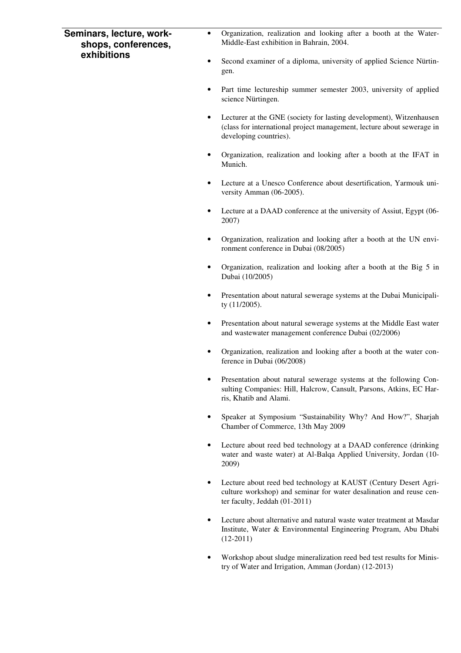| Seminars, lecture, work-<br>shops, conferences,<br>exhibitions | ٠ | Organization, realization and looking after a booth at the Water-<br>Middle-East exhibition in Bahrain, 2004.                                                            |
|----------------------------------------------------------------|---|--------------------------------------------------------------------------------------------------------------------------------------------------------------------------|
|                                                                | ٠ | Second examiner of a diploma, university of applied Science Nürtin-<br>gen.                                                                                              |
|                                                                |   | Part time lectureship summer semester 2003, university of applied<br>science Nürtingen.                                                                                  |
|                                                                |   | Lecturer at the GNE (society for lasting development), Witzenhausen<br>(class for international project management, lecture about sewerage in<br>developing countries).  |
|                                                                |   | Organization, realization and looking after a booth at the IFAT in<br>Munich.                                                                                            |
|                                                                |   | Lecture at a Unesco Conference about desertification, Yarmouk uni-<br>versity Amman (06-2005).                                                                           |
|                                                                |   | Lecture at a DAAD conference at the university of Assiut, Egypt (06-<br>2007)                                                                                            |
|                                                                |   | Organization, realization and looking after a booth at the UN envi-<br>ronment conference in Dubai (08/2005)                                                             |
|                                                                |   | Organization, realization and looking after a booth at the Big 5 in<br>Dubai (10/2005)                                                                                   |
|                                                                |   | Presentation about natural sewerage systems at the Dubai Municipali-<br>ty (11/2005).                                                                                    |
|                                                                |   | Presentation about natural sewerage systems at the Middle East water<br>and wastewater management conference Dubai (02/2006)                                             |
|                                                                |   | Organization, realization and looking after a booth at the water con-<br>ference in Dubai (06/2008)                                                                      |
|                                                                |   | Presentation about natural sewerage systems at the following Con-<br>sulting Companies: Hill, Halcrow, Cansult, Parsons, Atkins, EC Har-<br>ris, Khatib and Alami.       |
|                                                                | ٠ | Speaker at Symposium "Sustainability Why? And How?", Sharjah<br>Chamber of Commerce, 13th May 2009                                                                       |
|                                                                |   | Lecture about reed bed technology at a DAAD conference (drinking<br>water and waste water) at Al-Balqa Applied University, Jordan (10-<br>2009)                          |
|                                                                | ٠ | Lecture about reed bed technology at KAUST (Century Desert Agri-<br>culture workshop) and seminar for water desalination and reuse cen-<br>ter faculty, Jeddah (01-2011) |
|                                                                | ٠ | Lecture about alternative and natural waste water treatment at Masdar<br>Institute, Water & Environmental Engineering Program, Abu Dhabi<br>$(12-2011)$                  |
|                                                                |   | Workshop about sludge mineralization reed bed test results for Minis-<br>try of Water and Irrigation, Amman (Jordan) (12-2013)                                           |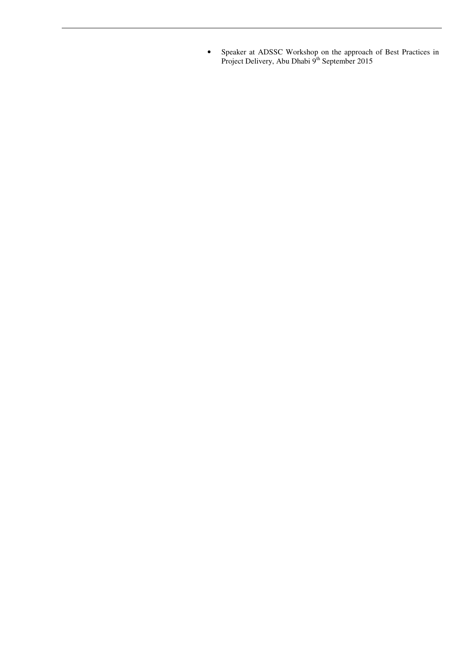• Speaker at ADSSC Workshop on the approach of Best Practices in Project Delivery, Abu Dhabi 9<sup>th</sup> September 2015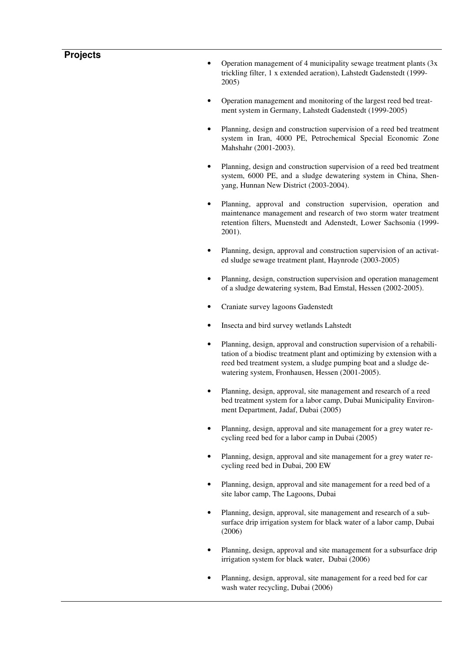## **Projects**

- Operation management of 4 municipality sewage treatment plants  $(3x)$ trickling filter, 1 x extended aeration), Lahstedt Gadenstedt (1999- 2005)
- Operation management and monitoring of the largest reed bed treatment system in Germany, Lahstedt Gadenstedt (1999-2005)
- Planning, design and construction supervision of a reed bed treatment system in Iran, 4000 PE, Petrochemical Special Economic Zone Mahshahr (2001-2003).
- Planning, design and construction supervision of a reed bed treatment system, 6000 PE, and a sludge dewatering system in China, Shenyang, Hunnan New District (2003-2004).
- Planning, approval and construction supervision, operation and maintenance management and research of two storm water treatment retention filters, Muenstedt and Adenstedt, Lower Sachsonia (1999- 2001).
- Planning, design, approval and construction supervision of an activated sludge sewage treatment plant, Haynrode (2003-2005)
- Planning, design, construction supervision and operation management of a sludge dewatering system, Bad Emstal, Hessen (2002-2005).
- Craniate survey lagoons Gadenstedt
- Insecta and bird survey wetlands Lahstedt
- Planning, design, approval and construction supervision of a rehabilitation of a biodisc treatment plant and optimizing by extension with a reed bed treatment system, a sludge pumping boat and a sludge dewatering system, Fronhausen, Hessen (2001-2005).
- Planning, design, approval, site management and research of a reed bed treatment system for a labor camp, Dubai Municipality Environment Department, Jadaf, Dubai (2005)
- Planning, design, approval and site management for a grey water recycling reed bed for a labor camp in Dubai (2005)
- Planning, design, approval and site management for a grey water recycling reed bed in Dubai, 200 EW
- Planning, design, approval and site management for a reed bed of a site labor camp, The Lagoons, Dubai
- Planning, design, approval, site management and research of a subsurface drip irrigation system for black water of a labor camp, Dubai (2006)
- Planning, design, approval and site management for a subsurface drip irrigation system for black water, Dubai (2006)
- Planning, design, approval, site management for a reed bed for car wash water recycling, Dubai (2006)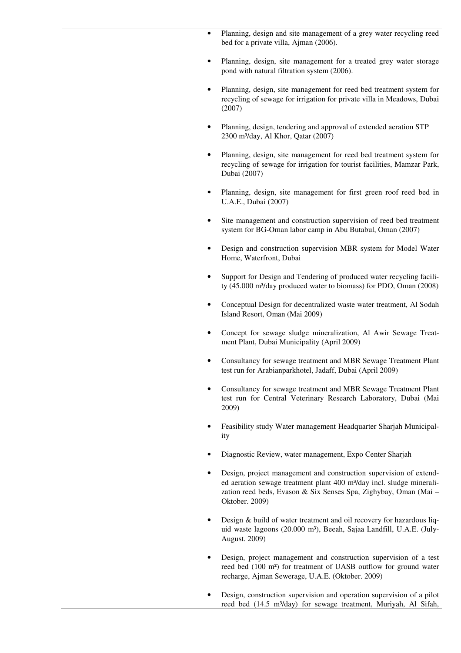- Planning, design and site management of a grey water recycling reed bed for a private villa, Ajman (2006).
- Planning, design, site management for a treated grey water storage pond with natural filtration system (2006).
- Planning, design, site management for reed bed treatment system for recycling of sewage for irrigation for private villa in Meadows, Dubai (2007)
- Planning, design, tendering and approval of extended aeration STP 2300 m³/day, Al Khor, Qatar (2007)
- Planning, design, site management for reed bed treatment system for recycling of sewage for irrigation for tourist facilities, Mamzar Park, Dubai (2007)
- Planning, design, site management for first green roof reed bed in U.A.E., Dubai (2007)
- Site management and construction supervision of reed bed treatment system for BG-Oman labor camp in Abu Butabul, Oman (2007)
- Design and construction supervision MBR system for Model Water Home, Waterfront, Dubai
- Support for Design and Tendering of produced water recycling facility (45.000 m<sup>3</sup>/day produced water to biomass) for PDO, Oman (2008)
- Conceptual Design for decentralized waste water treatment, Al Sodah Island Resort, Oman (Mai 2009)
- Concept for sewage sludge mineralization, Al Awir Sewage Treatment Plant, Dubai Municipality (April 2009)
- Consultancy for sewage treatment and MBR Sewage Treatment Plant test run for Arabianparkhotel, Jadaff, Dubai (April 2009)
- Consultancy for sewage treatment and MBR Sewage Treatment Plant test run for Central Veterinary Research Laboratory, Dubai (Mai 2009)
- Feasibility study Water management Headquarter Sharjah Municipality
- Diagnostic Review, water management, Expo Center Sharjah
- Design, project management and construction supervision of extended aeration sewage treatment plant 400 m<sup>3</sup>/day incl. sludge mineralization reed beds, Evason & Six Senses Spa, Zighybay, Oman (Mai – Oktober. 2009)
- Design & build of water treatment and oil recovery for hazardous liquid waste lagoons (20.000 m<sup>3</sup>), Beeah, Sajaa Landfill, U.A.E. (July-August. 2009)
- Design, project management and construction supervision of a test reed bed (100 m²) for treatment of UASB outflow for ground water recharge, Ajman Sewerage, U.A.E. (Oktober. 2009)
- Design, construction supervision and operation supervision of a pilot reed bed (14.5 m<sup>3</sup>/day) for sewage treatment, Muriyah, Al Sifah,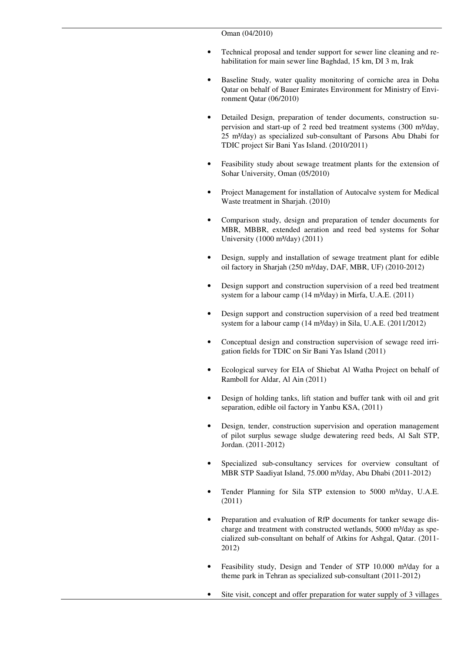- Technical proposal and tender support for sewer line cleaning and rehabilitation for main sewer line Baghdad, 15 km, DI 3 m, Irak
- Baseline Study, water quality monitoring of corniche area in Doha Qatar on behalf of Bauer Emirates Environment for Ministry of Environment Qatar (06/2010)
- Detailed Design, preparation of tender documents, construction supervision and start-up of 2 reed bed treatment systems  $(300 \text{ m}^3/\text{day})$ , 25 m³/day) as specialized sub-consultant of Parsons Abu Dhabi for TDIC project Sir Bani Yas Island. (2010/2011)
- Feasibility study about sewage treatment plants for the extension of Sohar University, Oman (05/2010)
- Project Management for installation of Autocalve system for Medical Waste treatment in Sharjah. (2010)
- Comparison study, design and preparation of tender documents for MBR, MBBR, extended aeration and reed bed systems for Sohar University (1000 m³/day) (2011)
- Design, supply and installation of sewage treatment plant for edible oil factory in Sharjah (250 m<sup>3</sup>/day, DAF, MBR, UF) (2010-2012)
- Design support and construction supervision of a reed bed treatment system for a labour camp  $(14 \text{ m}^3/\text{day})$  in Mirfa, U.A.E.  $(2011)$
- Design support and construction supervision of a reed bed treatment system for a labour camp  $(14 \text{ m}^3/\text{day})$  in Sila, U.A.E.  $(2011/2012)$
- Conceptual design and construction supervision of sewage reed irrigation fields for TDIC on Sir Bani Yas Island (2011)
- Ecological survey for EIA of Shiebat Al Watha Project on behalf of Ramboll for Aldar, Al Ain (2011)
- Design of holding tanks, lift station and buffer tank with oil and grit separation, edible oil factory in Yanbu KSA, (2011)
- Design, tender, construction supervision and operation management of pilot surplus sewage sludge dewatering reed beds, Al Salt STP, Jordan. (2011-2012)
- Specialized sub-consultancy services for overview consultant of MBR STP Saadiyat Island, 75.000 m³/day, Abu Dhabi (2011-2012)
- Tender Planning for Sila STP extension to 5000 m<sup>3</sup>/day, U.A.E. (2011)
- Preparation and evaluation of RfP documents for tanker sewage discharge and treatment with constructed wetlands,  $5000 \text{ m}^3/\text{day}$  as specialized sub-consultant on behalf of Atkins for Ashgal, Qatar. (2011- 2012)
- Feasibility study, Design and Tender of STP 10.000 m³/day for a theme park in Tehran as specialized sub-consultant (2011-2012)
- Site visit, concept and offer preparation for water supply of 3 villages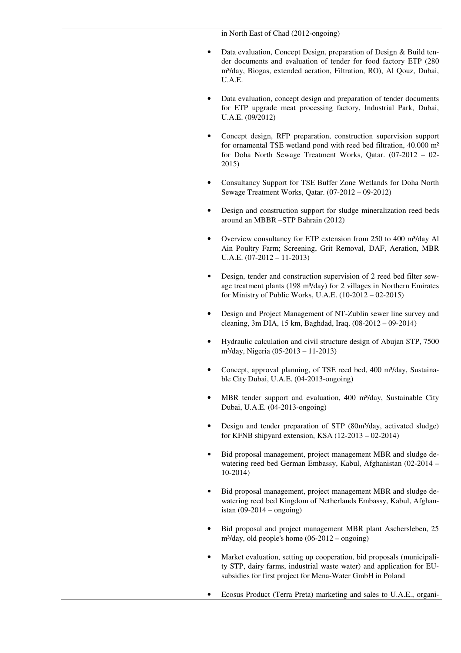in North East of Chad (2012-ongoing)

- Data evaluation, Concept Design, preparation of Design & Build tender documents and evaluation of tender for food factory ETP (280 m³/day, Biogas, extended aeration, Filtration, RO), Al Qouz, Dubai, U.A.E.
- Data evaluation, concept design and preparation of tender documents for ETP upgrade meat processing factory, Industrial Park, Dubai, U.A.E. (09/2012)
- Concept design, RFP preparation, construction supervision support for ornamental TSE wetland pond with reed bed filtration, 40.000 m² for Doha North Sewage Treatment Works, Qatar. (07-2012 – 02- 2015)
- Consultancy Support for TSE Buffer Zone Wetlands for Doha North Sewage Treatment Works, Qatar. (07-2012 – 09-2012)
- Design and construction support for sludge mineralization reed beds around an MBBR –STP Bahrain (2012)
- Overview consultancy for ETP extension from 250 to 400 m<sup>3</sup>/day Al Ain Poultry Farm; Screening, Grit Removal, DAF, Aeration, MBR U.A.E. (07-2012 – 11-2013)
- Design, tender and construction supervision of 2 reed bed filter sewage treatment plants (198 m<sup>3</sup>/day) for 2 villages in Northern Emirates for Ministry of Public Works, U.A.E. (10-2012 – 02-2015)
- Design and Project Management of NT-Zublin sewer line survey and cleaning, 3m DIA, 15 km, Baghdad, Iraq. (08-2012 – 09-2014)
- Hydraulic calculation and civil structure design of Abujan STP, 7500 m³/day, Nigeria (05-2013 – 11-2013)
- Concept, approval planning, of TSE reed bed, 400 m<sup>3</sup>/day, Sustainable City Dubai, U.A.E. (04-2013-ongoing)
- MBR tender support and evaluation, 400 m<sup>3</sup>/day, Sustainable City Dubai, U.A.E. (04-2013-ongoing)
- Design and tender preparation of STP (80m<sup>3</sup>/day, activated sludge) for KFNB shipyard extension, KSA (12-2013 – 02-2014)
- Bid proposal management, project management MBR and sludge dewatering reed bed German Embassy, Kabul, Afghanistan (02-2014 – 10-2014)
- Bid proposal management, project management MBR and sludge dewatering reed bed Kingdom of Netherlands Embassy, Kabul, Afghanistan (09-2014 – ongoing)
- Bid proposal and project management MBR plant Aschersleben, 25 m³/day, old people's home (06-2012 – ongoing)
- Market evaluation, setting up cooperation, bid proposals (municipality STP, dairy farms, industrial waste water) and application for EUsubsidies for first project for Mena-Water GmbH in Poland
- Ecosus Product (Terra Preta) marketing and sales to U.A.E., organi-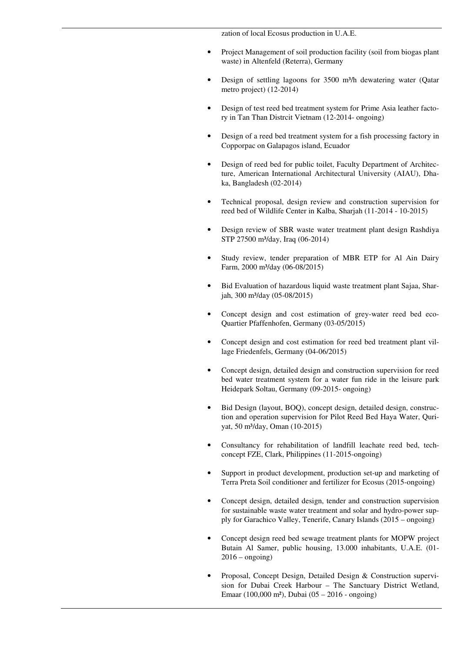zation of local Ecosus production in U.A.E.

- Project Management of soil production facility (soil from biogas plant waste) in Altenfeld (Reterra), Germany
- Design of settling lagoons for 3500 m<sup>3</sup>/h dewatering water (Qatar metro project) (12-2014)
- Design of test reed bed treatment system for Prime Asia leather factory in Tan Than Distrcit Vietnam (12-2014- ongoing)
- Design of a reed bed treatment system for a fish processing factory in Copporpac on Galapagos island, Ecuador
- Design of reed bed for public toilet, Faculty Department of Architecture, American International Architectural University (AIAU), Dhaka, Bangladesh (02-2014)
- Technical proposal, design review and construction supervision for reed bed of Wildlife Center in Kalba, Sharjah (11-2014 - 10-2015)
- Design review of SBR waste water treatment plant design Rashdiya STP 27500 m<sup>3</sup>/day, Iraq (06-2014)
- Study review, tender preparation of MBR ETP for Al Ain Dairy Farm, 2000 m³/day (06-08/2015)
- Bid Evaluation of hazardous liquid waste treatment plant Sajaa, Sharjah, 300 m³/day (05-08/2015)
- Concept design and cost estimation of grey-water reed bed eco-Quartier Pfaffenhofen, Germany (03-05/2015)
- Concept design and cost estimation for reed bed treatment plant village Friedenfels, Germany (04-06/2015)
- Concept design, detailed design and construction supervision for reed bed water treatment system for a water fun ride in the leisure park Heidepark Soltau, Germany (09-2015- ongoing)
- Bid Design (layout, BOQ), concept design, detailed design, construction and operation supervision for Pilot Reed Bed Haya Water, Quriyat, 50 m³/day, Oman (10-2015)
- Consultancy for rehabilitation of landfill leachate reed bed, techconcept FZE, Clark, Philippines (11-2015-ongoing)
- Support in product development, production set-up and marketing of Terra Preta Soil conditioner and fertilizer for Ecosus (2015-ongoing)
- Concept design, detailed design, tender and construction supervision for sustainable waste water treatment and solar and hydro-power supply for Garachico Valley, Tenerife, Canary Islands (2015 – ongoing)
- Concept design reed bed sewage treatment plants for MOPW project Butain Al Samer, public housing, 13.000 inhabitants, U.A.E. (01-  $2016$  – ongoing)
- Proposal, Concept Design, Detailed Design & Construction supervision for Dubai Creek Harbour – The Sanctuary District Wetland, Emaar (100,000 m²), Dubai (05 – 2016 - ongoing)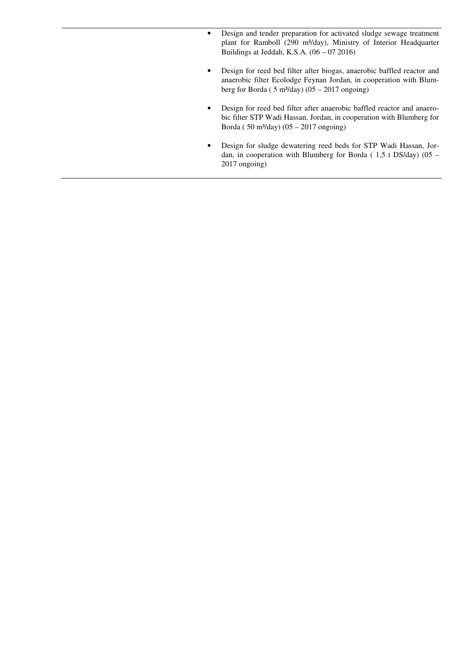- Design and tender preparation for activated sludge sewage treatment plant for Ramboll (290 m<sup>3</sup>/day), Ministry of Interior Headquarter Buildings at Jeddah, K.S.A. (06 – 07 2016)
- Design for reed bed filter after biogas, anaerobic baffled reactor and anaerobic filter Ecolodge Feynan Jordan, in cooperation with Blumberg for Borda ( $5 \text{ m}^3$ /day) (05 – 2017 ongoing)
- Design for reed bed filter after anaerobic baffled reactor and anaerobic filter STP Wadi Hassan, Jordan, in cooperation with Blumberg for Borda (  $50 \text{ m}^3/\text{day}$ ) (05 – 2017 ongoing)
- Design for sludge dewatering reed beds for STP Wadi Hassan, Jordan, in cooperation with Blumberg for Borda ( 1,5 t DS/day) (05 – 2017 ongoing)